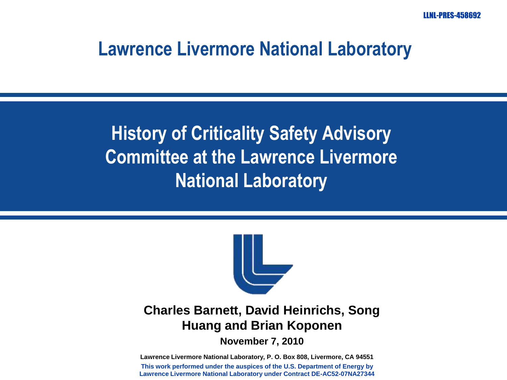LLNL-PRES-458692

#### **Lawrence Livermore National Laboratory**

**History of Criticality Safety Advisory Committee at the Lawrence Livermore National Laboratory**



#### **Charles Barnett, David Heinrichs, Song Huang and Brian Koponen**

**November 7, 2010**

**Lawrence Livermore National Laboratory, P. O. Box 808, Livermore, CA 94551 This work performed under the auspices of the U.S. Department of Energy by Lawrence Livermore National Laboratory under Contract DE-AC52-07NA27344**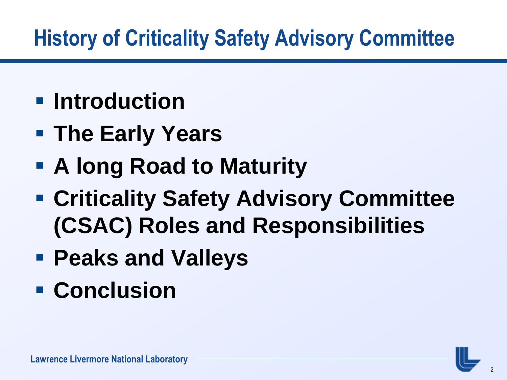# **History of Criticality Safety Advisory Committee**

- **F** Introduction
- **The Early Years**
- **A long Road to Maturity**
- **Criticality Safety Advisory Committee (CSAC) Roles and Responsibilities**
- **Peaks and Valleys**
- **Conclusion**

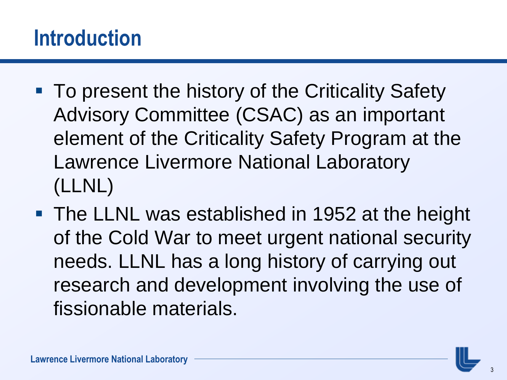#### **Introduction**

- **To present the history of the Criticality Safety** Advisory Committee (CSAC) as an important element of the Criticality Safety Program at the Lawrence Livermore National Laboratory (LLNL)
- **The LLNL was established in 1952 at the height** of the Cold War to meet urgent national security needs. LLNL has a long history of carrying out research and development involving the use of fissionable materials.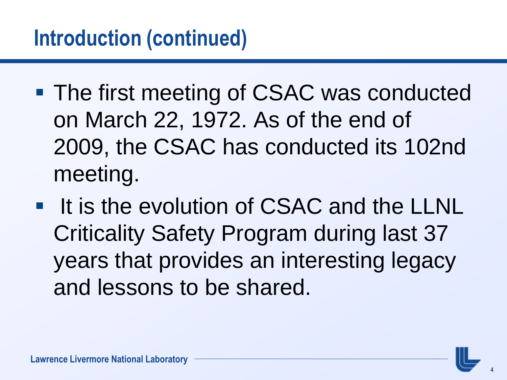- The first meeting of CSAC was conducted on March 22, 1972. As of the end of 2009, the CSAC has conducted its 102nd meeting.
- **If is the evolution of CSAC and the LLNL** Criticality Safety Program during last 37 years that provides an interesting legacy and lessons to be shared.

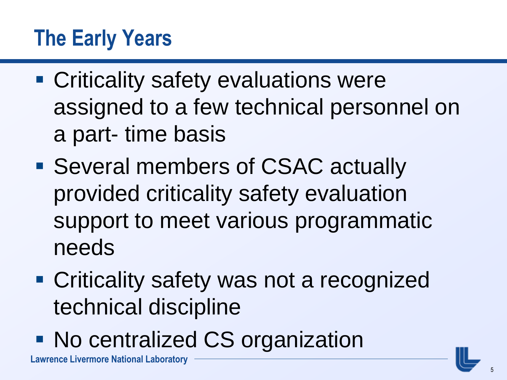### **The Early Years**

- **Criticality safety evaluations were** assigned to a few technical personnel on a part- time basis
- Several members of CSAC actually provided criticality safety evaluation support to meet various programmatic needs
- **Criticality safety was not a recognized** technical discipline
- No centralized CS organization

**Lawrence Livermore National Laboratory**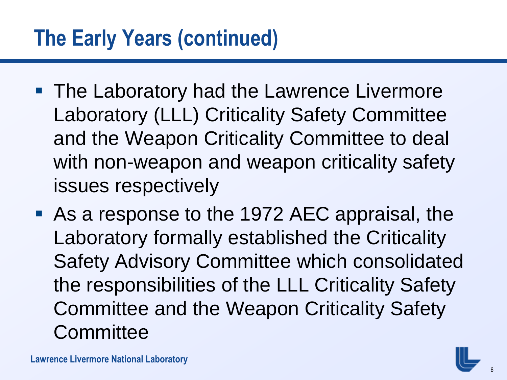#### **The Early Years (continued)**

- **The Laboratory had the Lawrence Livermore** Laboratory (LLL) Criticality Safety Committee and the Weapon Criticality Committee to deal with non-weapon and weapon criticality safety issues respectively
- As a response to the 1972 AEC appraisal, the Laboratory formally established the Criticality Safety Advisory Committee which consolidated the responsibilities of the LLL Criticality Safety Committee and the Weapon Criticality Safety **Committee**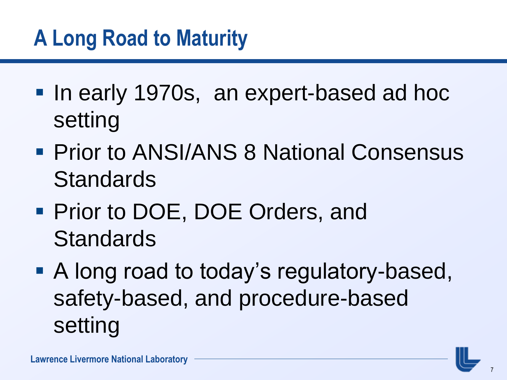# **A Long Road to Maturity**

- **If the early 1970s, an expert-based ad hoce** setting
- **Prior to ANSI/ANS 8 National Consensus Standards**
- **Prior to DOE, DOE Orders, and Standards**
- A long road to today's regulatory-based, safety-based, and procedure-based setting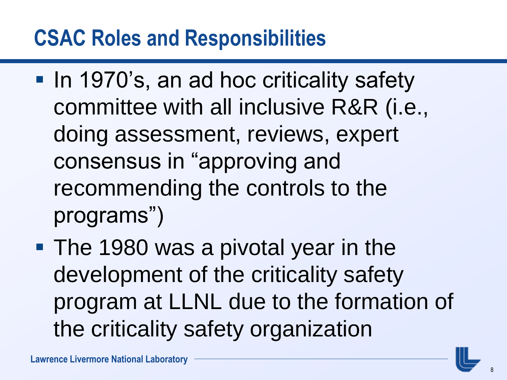#### **CSAC Roles and Responsibilities**

- **In 1970's, an ad hoc criticality safety** committee with all inclusive R&R (i.e., doing assessment, reviews, expert consensus in "approving and recommending the controls to the programs")
- **The 1980 was a pivotal year in the** development of the criticality safety program at LLNL due to the formation of the criticality safety organization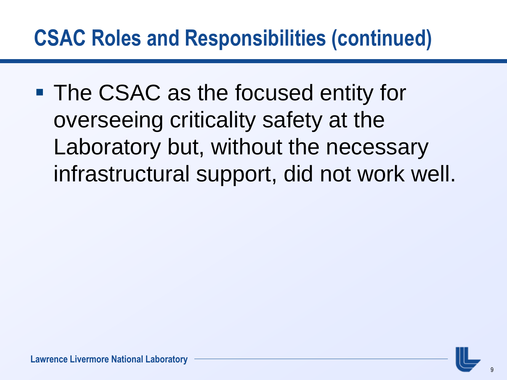#### **CSAC Roles and Responsibilities (continued)**

**The CSAC as the focused entity for** overseeing criticality safety at the Laboratory but, without the necessary infrastructural support, did not work well.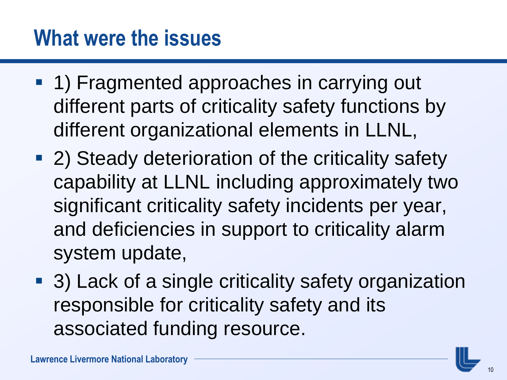#### **What were the issues**

- **1) Fragmented approaches in carrying out** different parts of criticality safety functions by different organizational elements in LLNL,
- 2) Steady deterioration of the criticality safety capability at LLNL including approximately two significant criticality safety incidents per year, and deficiencies in support to criticality alarm system update,
- 3) Lack of a single criticality safety organization responsible for criticality safety and its associated funding resource.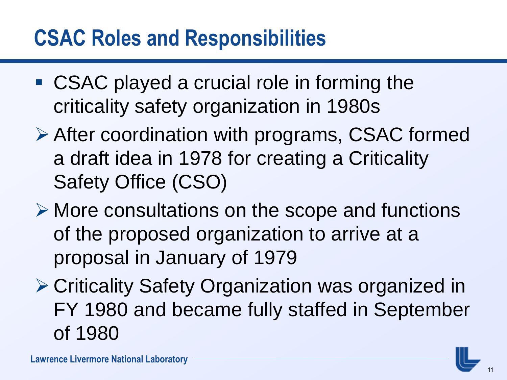#### **CSAC Roles and Responsibilities**

- CSAC played a crucial role in forming the criticality safety organization in 1980s
- After coordination with programs, CSAC formed a draft idea in 1978 for creating a Criticality Safety Office (CSO)
- More consultations on the scope and functions of the proposed organization to arrive at a proposal in January of 1979
- Criticality Safety Organization was organized in FY 1980 and became fully staffed in September of 1980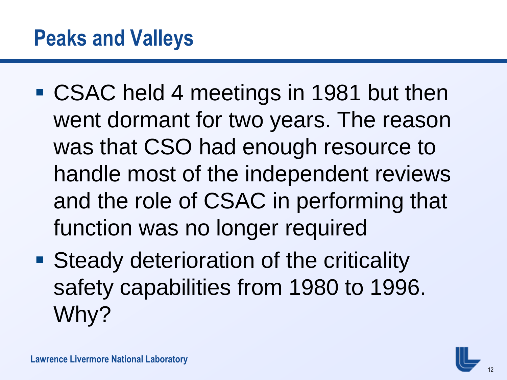- CSAC held 4 meetings in 1981 but then went dormant for two years. The reason was that CSO had enough resource to handle most of the independent reviews and the role of CSAC in performing that function was no longer required
- **Steady deterioration of the criticality** safety capabilities from 1980 to 1996. Why?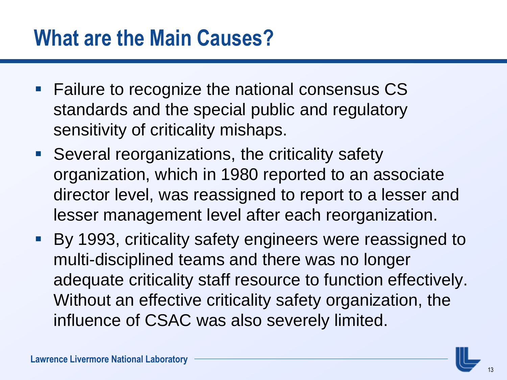#### **What are the Main Causes?**

- **Failure to recognize the national consensus CS** standards and the special public and regulatory sensitivity of criticality mishaps.
- **Several reorganizations, the criticality safety** organization, which in 1980 reported to an associate director level, was reassigned to report to a lesser and lesser management level after each reorganization.
- **By 1993, criticality safety engineers were reassigned to** multi-disciplined teams and there was no longer adequate criticality staff resource to function effectively. Without an effective criticality safety organization, the influence of CSAC was also severely limited.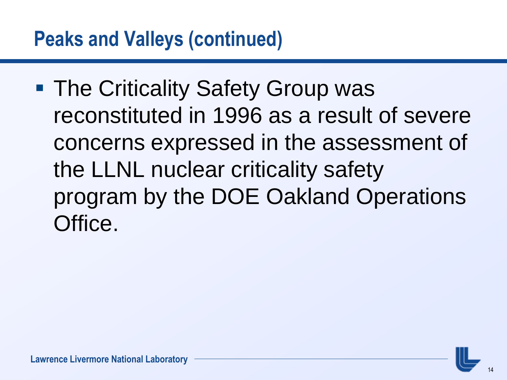■ The Criticality Safety Group was reconstituted in 1996 as a result of severe concerns expressed in the assessment of the LLNL nuclear criticality safety program by the DOE Oakland Operations Office.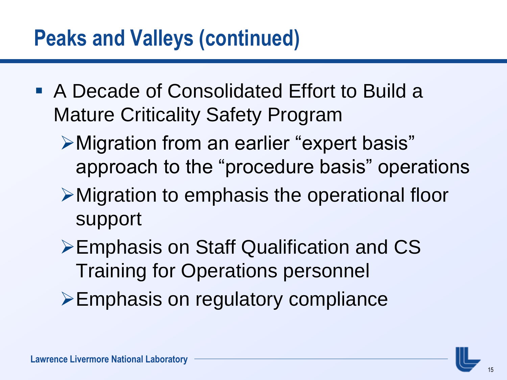#### **Peaks and Valleys (continued)**

- A Decade of Consolidated Effort to Build a Mature Criticality Safety Program
	- Migration from an earlier "expert basis" approach to the "procedure basis" operations
	- Migration to emphasis the operational floor support
	- **≻Emphasis on Staff Qualification and CS** Training for Operations personnel
	- Emphasis on regulatory compliance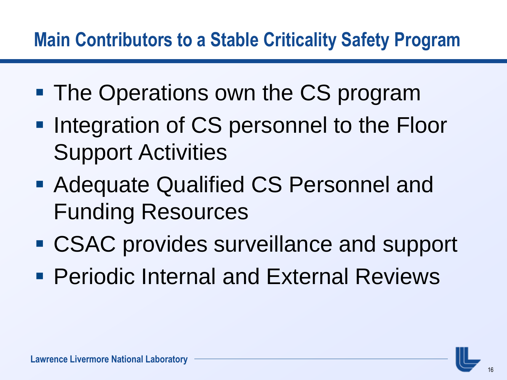#### **Main Contributors to a Stable Criticality Safety Program**

- **The Operations own the CS program**
- **Integration of CS personnel to the Floor** Support Activities
- **Adequate Qualified CS Personnel and** Funding Resources
- CSAC provides surveillance and support
- **Periodic Internal and External Reviews**